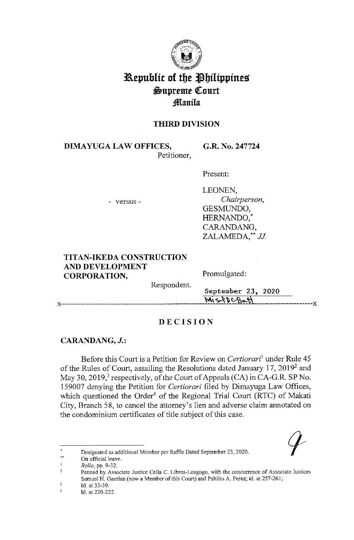

# **3a.epublit of tbe ~bilippines ~upreme QCourt :fflanila**

## **THIRD DIVISION**

**DIMA YUGA LAW OFFICES,**  Petitioner, **G.R. No. 247724** 

Present:

- versus -

LEONEN, *Chairperson,*  GESMUNDO, HERNANDO, CARANDANG, ZALAMEDA, \*\* JJ

#### **TITAN-IKEDA CONSTRUCTION AND DEVELOPMENT CORPORATION,**  Respondent. Promulgated: September 23, 2020  $M_1 \leq P_0 \leq P_0 \leq H_1$

## **DECISION**

## **CARANDANG, J.:**

Before this Court is a Petition for Review on *Certiorari*<sup>1</sup>under Rule 45 of the Rules of Court, assailing the Resolutions dated January  $17, 2019^2$  and May 30, 2019,<sup>3</sup> respectively, of the Court of Appeals (CA) in CA-G.R. SP No. 159007 denying the Petition for *Certiorari* filed by Dimayuga Law Offices, which questioned the Order<sup>4</sup> of the Regional Trial Court (RTC) of Makati City, Branch 58, to cancel the attorney's lien and adverse claim annotated on the condominium certificates of title subject of this case.



On official leave.

*Rollo,* pp. 9-32.

 $\overline{2}$ **Penned by Associate Justice Celia C. Librea-Leagogo, with the concurrence of Associate Justices**  Samuel H. Gaerlan (now a Member of this Court) and Pablito A. Perez; id. at257-261;  $\overline{\mathbf{3}}$ 

**Id. at 33-39.** 

<sup>4</sup>  Id. at 220-222.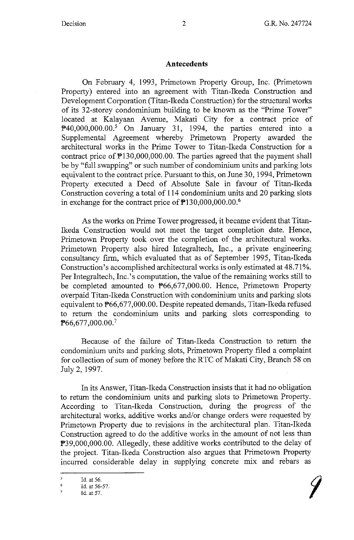#### **Antecedents**

On February 4, 1993, Primetown Property Group, Inc. (Primetown Property) entered into an agreement with Titan-Ikeda Construction and Development Corporation (Titan-Ikeda Construction) for the structural works of its 32-storey condominium building to be known as the "Prime Tower" located at Kalayaan Avenue, Makati City for a contract price of  $\mathbb{P}40,000,000.00$ .<sup>5</sup> On January 31, 1994, the parties entered into a Supplemental Agreement whereby Primetown Property awarded the architectural works in the Prime Tower to Titan-Ikeda Construction for a contract price of  $\mathbb{P}130,000,000.00$ . The parties agreed that the payment shall be by "full swapping" or such number of condominium units and parking lots equivalent to the contract price. Pursuant to this, on June 30, 1994, Primetown Property executed a Deed of Absolute Sale in favour of Titan-Ikeda Construction covering a total of 114 condominium units and 20 parking slots in exchange for the contract price of P130,000,000.00.<sup>6</sup>

As the works on Prime Tower progressed, it became evident that Titan-Ikeda Construction would not meet the target completion date. Hence, Primetown Property took over the completion of the architectural works. Primetown Property also hired Integraltech, Inc., a private engineering consultancy firm, which evaluated that as of September 1995, Titan-Ikeda Construction's accomplished architectural works is only estimated at 48.71%. Per Integraltech, Inc.'s computation, the value of the remaining works still to be completed amounted to P66,677,000.00. Hence, Primetown Property overpaid Titan-Ikeda Construction with condominium units and parking slots equivalent to P66,677,000.00. Despite repeated demands, Titan-Ikeda refused to return the condominium units and parking slots corresponding to P66,677,000.00.<sup>7</sup>

Because of the failure of Titan-Ikeda Construction to return the condominium units and parking slots, Primetown Property filed a complaint for collection of sum of money before the RTC of Makati City, Branch 58 on July 2, 1997.

In its Answer, Titan-Ikeda Construction insists that it had no obligation to return the condominium units and parking slots to Primetown Property. According to Titan-Ikeda Construction, during the progress of the architectural works, additive works and/or change orders were requested by Primetown Property due to revisions in the architectural plan. Titan-Ikeda Construction agreed to do the additive works in the amount of not less than P39,000,000.00. Allegedly, these additive works contributed to the delay of the project. Titan-Ikeda Construction also argues that Primetown Property incurred considerable delay in supplying concrete mix and rebars as

 $\overline{5}$ Id. at 56.

<sup>6</sup>  Id. at 56-57.

<sup>7</sup>  Id. at 57.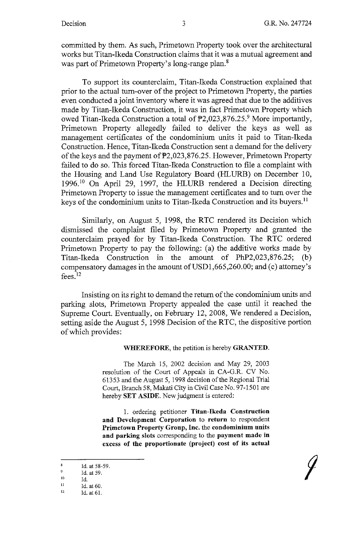committed by them. As such, Primetown Property took over the architectural works but Titan-Ikeda Construction claims that it was a mutual agreement and was part of Primetown Property's long-range plan.<sup>8</sup>

To support its counterclaim, Titan-Ikeda Construction explained that prior to the actual tum-over of the project to Primetown Property, the parties even conducted a joint inventory where it was agreed that due to the additives made by Titan-Ikeda Construction, it was in fact Primetown Property which owed Titan-Ikeda Construction a total of  $P2,023,876.25.9$  More importantly, Primetown Property allegedly failed to deliver the keys as well as management certificates of the condominium units it paid to Titan-Ikeda Construction. Hence, Titan-Ikeda Construction sent a demand for the delivery of the keys and the payment of  $\overline{P2,023,876.25}$ . However, Primetown Property failed to do so. This forced Titan-Ikeda Construction to file a complaint with the Housing and Land Use Regulatory Board (HLURB) on December 10, 1996. 10 On April 29, 1997, the HLURB rendered a Decision directing Primetown Property to issue the management certificates and to tum over the keys of the condominium units to Titan-Ikeda Construction and its buyers.<sup>11</sup>

Similarly, on August 5, 1998, the RTC rendered its Decision which dismissed the complaint filed by Primetown Property and granted the counterclaim prayed for by Titan-Ikeda Construction. The RTC ordered Primetown Property to pay the following: (a) the additive works made by Titan-Ikeda Construction in the amount of PhP2,023,876.25; (b) compensatory damages in the amount of  $\text{USD1,665,260.00}$ ; and (c) attorney's fees. $12$ 

Insisting on its right to demand the return of the condominium units and parking slots, Primetown Property appealed the case until it reached the Supreme Court. Eventually, on February 12, 2008, We rendered a Decision, setting aside the August 5, 1998 Decision of the RTC, the dispositive portion of which provides:

**WHEREFORE,** the petition is hereby **GRANTED.** 

The March 15, 2002 decision and May 29, 2003 resolution of the Court of Appeals in CA-G.R. CV No. 61353 and the August 5, 1998 decision of the Regional Trial Court, Branch 58, Makati City in Civil Case No. 97-1501 are hereby **SET ASIDE.** New judgment is entered:

I. ordering petitioner **Titan-Ikeda Construction and Development Corporation** to **return** to respondent **Primetown Property Group, Inc.** the **condominium units and parking slots** corresponding to the **payment made in excess of the proportionate (project) cost of its actual** 

<sup>8</sup>  Id. at 58-59.

<sup>9</sup>  Id. at 59.

JO Id.

II Id. at 60.

<sup>12</sup>  Id. at 61.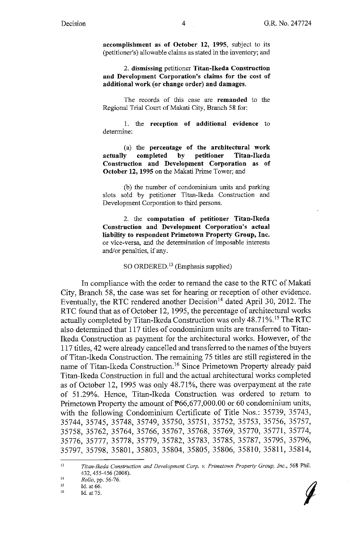**accomplishment as of October 12, 1995,** subject to its (petitioner's) allowable claims as stated in the inventory; and

2. **dismissing** petitioner **Titan-Ikeda Construction and Development Corporation's claims for the cost of additional work ( or change order) and damages.** 

The records of this case are **remanded** to the Regional Trial Court of Makati City, Branch 58 for:

1. the **reception of additional evidence** to determine:

(a) the **percentage of the architectural work actually completed by petitioner Titan-Ikeda Construction and Development Corporation as of October 12, 1995** on the Makati Prime Tower; and

(b) the number of condominium units and parking slots sold by petitioner Titan-Ikeda Construction and Development Corporation to third persons.

2. the **computation of petitioner Titan-Ikeda Construction and Development Corporation's actual liability to respondent Primetown Property Group, Inc.**  or vice-versa, and the determination of imposable interests and/or penalties, if any.

SO ORDERED.13 (Emphasis supplied)

In compliance with the order to remand the case to the RTC of Makati City, Branch 58, the case was set for hearing or reception of other evidence. Eventually, the RTC rendered another Decision<sup>14</sup> dated April 30, 2012. The RTC found that as of October 12, 1995, the percentage of architectural works actually completed by Titan-Ikeda Construction was only 48.71%.<sup>15</sup> The RTC also determined that 117 titles of condominium units are transferred to Titan-Ikeda Construction as payment for the architectural works. However, of the 117 titles, 42 were already cancelled and transferred to the names of the buyers of Titan-Ikeda Construction. The remaining 75 titles are still registered in the name of Titan-Ikeda Construction. 16 Since Primetown Property already paid Titan-Ikeda Construction in full and the actual architectural works completed as of October 12, 1995 was only 48.71%, there was overpayment at the rate of 51.29%. Hence, Titan-Ikeda Construction was ordered to return to Primetown Property the amount of  $\mathbb{P}66,677,000.00$  or 60 condominium units, with the following Condominium Certificate of Title Nos.: 35739, 35743, 35744, 35745, 35748, 35749, 35750, 35751, 35752, 35753, 35756, 35757, 35758, 35762, 35764, 35766, 35767, 35768, 35769, 35770, 35771, 35774, 35776, 35777, 35778, 35779, 35782, 35783, 35785, 35787, 35795, 35796, 35797, 35798, 35801, 35803, 35804, 35805, 35806, 35810, 35811, 35814,

<sup>16</sup> 



<sup>13</sup>  *Titan-Ikeda Construction and Development Corp. v. Prime/own Property Group, Inc.,* 568 Phil. 432, 455-456 (2008).

<sup>14</sup>  15 *Rollo,* pp. 56-76.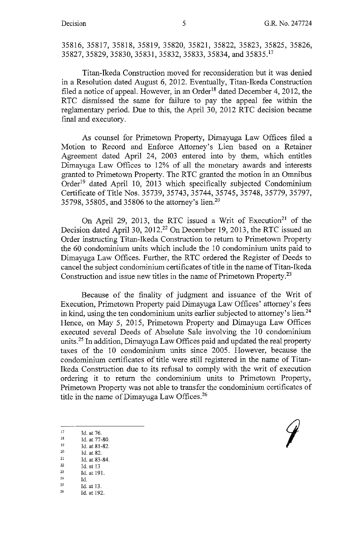35816, 35817, 35818, 35819, 35820, 35821, 35822, 35823, 35825, 35826, 35827, 35829, 35830, 35831, 35832, 35833, 35834, and 35835. <sup>17</sup>

Titan-Ikeda Construction moved for reconsideration but it was denied in a Resolution dated August 6, 2012. Eventually, Titan-Ikeda Construction filed a notice of appeal. However, in an Order<sup>18</sup> dated December 4, 2012, the RTC dismissed the same for failure to pay the appeal fee within the reglamentary period. Due to this, the April 30, 2012 RTC decision became final and executory.

As counsel for Primetown Property, Dimayuga Law Offices filed a Motion to Record and Enforce Attorney's Lien based on a Retainer Agreement dated April 24, 2003 entered into by them, which entitles Dimayuga Law Offices to 12% of all the monetary awards and interests granted to Primetown Property. The RTC granted the motion in an Omnibus Order<sup>19</sup> dated April 10, 2013 which specifically subjected Condominium Certificate of Title Nos. 35739, 35743, 35744, 35745, 35748, 35779, 35797, 35798, 35805, and 35806 to the attorney's lien.20

On April 29, 2013, the RTC issued a Writ of Execution<sup>21</sup> of the Decision dated April 30, 2012.<sup>22</sup> On December 19, 2013, the RTC issued an Order instructing Titan-Ikeda Construction to return to Primetown Property the 60 condominium units which include the 10 condominium units paid to Dimayuga Law Offices. Further, the RTC ordered the Register of Deeds to cancel the subject condominium certificates of title in the name of Titan-Ikeda Construction and issue new titles in the name of Primetown Property.<sup>23</sup>

Because of the finality of judgment and issuance of the Writ of Execution, Primetown Property paid Dimayuga Law Offices' attorney's fees in kind, using the ten condominium units earlier subjected to attorney's lien.<sup>24</sup> Hence, on May 5, 2015, Primetown Property and Dimayuga Law Offices executed several Deeds of Absolute Sale involving the 10 condominium units.25 In addition, Dimayuga Law Offices paid and updated the real property taxes of the 10 condominium units since 2005. However, because the condominium certificates of title were still registered in the name of Titan-Ikeda Construction due to its refusal to comply with the writ of execution ordering it to return the condominium units to Primetown Property, Primetown Property was not able to transfer the condominium certificates of title in the name of Dimayuga Law Offices. $26$ 

- 
- 
- 
- 17 Id. at 76.<br>
18 Id. at 77-80.<br>
19 Id. at 81-82.<br>
20 Id. at 82.<br>
21 Id. at 83-84.<br>
22 Id. at 13.
- 
- $\begin{array}{cc}\n 22 & \text{Id. at 13} \\
 23 & \text{Id. at 191.} \\
 \end{array}$
- 
- 
- $\frac{24}{25}$  Id.<br>  $\frac{25}{10}$  Id. at 13.<br>  $\frac{26}{10}$  Id. at 192.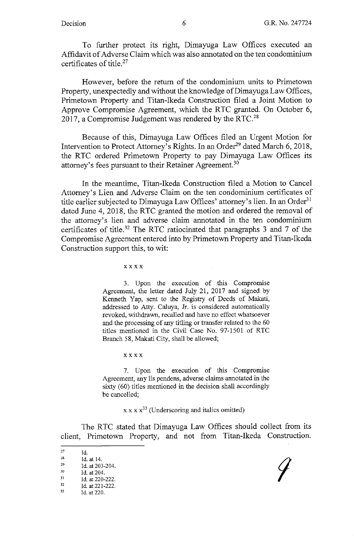To further protect its right, Dimayuga Law Offices executed an Affidavit of Adverse Claim which was also annotated on the ten condominium certificates of title. $27$ 

However, before the return of the condominium units to Primetown Property, unexpectedly and without the knowledge of Dimayuga Law Offices, Primetown Property and Titan-Ikeda Construction filed a Joint Motion to Approve Compromise Agreement, which the RTC granted. On October 6, 2017, a Compromise Judgement was rendered by the RTC.<sup>28</sup>

Because of this, Dimayuga Law Offices filed an Urgent Motion for Intervention to Protect Attorney's Rights. In an Order<sup>29</sup> dated March 6, 2018, the RTC ordered Primetown Property to pay Dimayuga Law Offices its attorney's fees pursuant to their Retainer Agreement.<sup>30</sup>

In the meantime, Titan-Ikeda Construction filed a Motion to Cancel Attorney's Lien and Adverse Claim on the ten condominium certificates of title earlier subjected to Dimayuga Law Offices' attorney's lien. In an Order<sup>31</sup> dated June 4, 2018, the RTC granted the motion and ordered the removal of the attorney's lien and adverse claim annotated in the ten condominium certificates of title.32 The RTC ratiocinated that paragraphs 3 and 7 of the Compromise Agreement entered into by Primetown Property and Titan-Ikeda Construction support this, to wit:

xxxx

3. Upon the execution of this Compromise Agreement, the letter dated July 21, 2017 and signed by Kenneth Yap, sent to the Registry of Deeds of Makati, addressed to Atty. Caluya, Jr. is considered automatically revoked, withdrawn, recalled and have no effect whatsoever and the processing of any titling or transfer related to the 60 titles mentioned in the Civil Case No. 97-1501 of RTC Branch 58, Makati City, shall be allowed;

xxxx

7. Upon the execution of this Compromise Agreement, any lis pendens, adverse claims annotated in the sixty (60) titles mentioned in the decision shall accordingly be cancelled;

 $x \times x^{33}$  (Underscoring and italics omitted)

The RTC stated that Dimayuga Law Offices should collect from its client, Primetown Property, and not from Titan-Ikeda Construction.

<sup>27</sup> Id.<br>
28 Id. at 14.<br>
29 Id. at 203-204.<br>
30 Id. at 204.<br>
31 Id. at 220-222.<br>
32 Id. at 221-222.<br>
33 Id. at 220.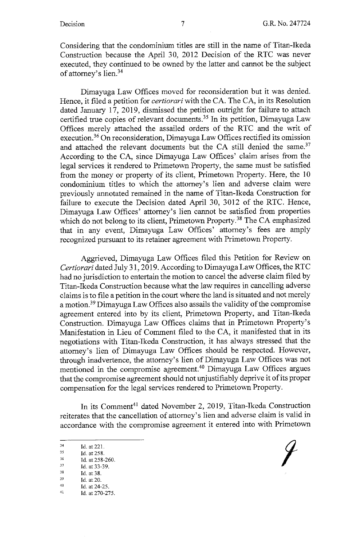Considering that the condominium titles are still in the name of Titan-Ikeda Construction because the April 30, 2012 Decision of the RTC was never executed, they continued to be owned by the latter and cannot be the subject of attorney's lien.<sup>34</sup>

Dimayuga Law Offices moved for reconsideration but it was denied. Hence, it filed a petition for *certiorari* with the CA. The CA, in its Resolution dated January 17, 2019, dismissed the petition outright for failure to attach certified true copies of relevant documents.<sup>35</sup> In its petition, Dimayuga Law Offices merely attached the assailed orders of the RTC and the writ of execution.<sup>36</sup> On reconsideration, Dimayuga Law Offices rectified its omission and attached the relevant documents but the CA still denied the same.<sup>37</sup> According to the CA, since Dimayuga Law Offices' claim arises from the legal services it rendered to Primetown Property, the same must be satisfied from the money or property of its client, Primetown Property. Here, the 10 condominium titles to which the attorney's lien and adverse claim were previously annotated remained in the name of Titan-Ikeda Construction for failure to execute the Decision dated April 30, 3012 of the RTC. Hence, Dimayuga Law Offices' attorney's lien cannot be satisfied from properties which do not belong to its client, Primetown Property.<sup>38</sup> The CA emphasized that in any event, Dimayuga Law Offices' attorney's fees are amply recognized pursuant to its retainer agreement with Primetown Property.

Aggrieved, Dimayuga Law Offices filed this Petition for Review on *Certiorari* dated July 31, 2019. According to Dimayuga Law Offices, the RTC had no jurisdiction to entertain the motion to cancel the adverse claim filed by Titan-Ikeda Construction because what the law requires in cancelling adverse claims is to file a petition in the court where the land is situated and not merely a motion.39 Dimayuga Law Offices also assails the validity of the compromise agreement entered into by its client, Primetown Property, and Titan-Ikeda Construction. Dimayuga Law Offices claims that in Primetown Property's Manifestation in Lieu of Comment filed to the CA, it manifested that in its negotiations with Titan-Ikeda Construction, it has always stressed that the attorney's lien of Dimayuga Law Offices should be respected. However, through inadvertence, the attorney's lien of Dimayuga Law Offices was not mentioned in the compromise agreement.40 Dimayuga Law Offices argues that the compromise agreement should not unjustifiably deprive it of its proper compensation for the legal services rendered to Primetown Property.

In its Comment<sup>41</sup> dated November 2, 2019, Titan-Ikeda Construction reiterates that the cancellation of attorney's lien and adverse claim is valid in accordance with the compromise agreement it entered into with Primetown

- 
- 
- 
- 

41 **Id. at 270-275.**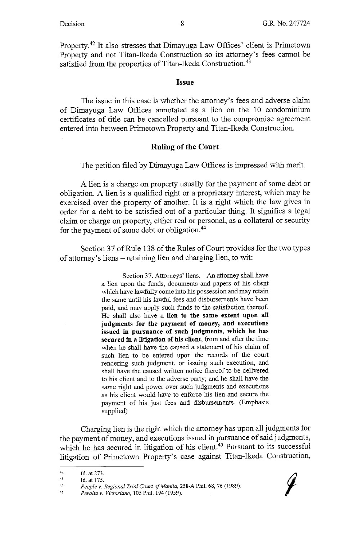Property.42 It also stresses that Dimayuga Law Offices' client is Primetown Property and not Titan-Ikeda Construction so its attorney's fees cannot be satisfied from the properties of Titan-Ikeda Construction.<sup>43</sup>

#### **Issue**

The issue in this case is whether the attorney's fees and adverse claim of Dimayuga Law Offices annotated as a lien on the 10 condominium certificates of title can be cancelled pursuant to the compromise agreement entered into between Primetown Property and Titan-Ikeda Construction.

#### **Ruling of the Court**

The petition filed by Dimayuga Law Offices is impressed with merit.

A lien is a charge on property usually for the payment of some debt or obligation. A lien is a qualified right or a proprietary interest, which may be exercised over the property of another. It is a right which the law gives in order for a debt to be satisfied out of a particular thing. It signifies a legal claim or charge on property, either real or personal, as a collateral or security for the payment of some debt or obligation.44

Section 37 of Rule 138 of the Rules of Court provides for the two types of attorney's liens - retaining lien and charging lien, to wit:

> Section 37. Attorneys' liens. - An attorney shall have a lien upon the funds, documents and papers of his client which have lawfully come into his possession and may retain the same until his lawful fees and disbursements have been paid, and may apply such funds to the satisfaction thereof. He shall also have a **lien to the same extent upon all judgments for the payment of money, and executions**  issued in pursuance of such judgments, which he has secured in a litigation of his client, from and after the time when he shall have the caused a statement of his claim of such lien to be entered upon the records of the court rendering such judgment, or issuing such execution, and shall have the caused written notice thereof to be delivered to his client and to the adverse party; and he shall have the same right and power over such judgments and executions as his client would have to enforce his lien and secure the payment of his just fees and disbursements. (Emphasis supplied)

Charging lien is the right which the attorney has upon all judgments for the payment of money, and executions issued in pursuance of said judgments, which he has secured in litigation of his client.<sup>45</sup> Pursuant to its successful litigation of Primetown Property's case against Titan-Ikeda Construction,



<sup>42</sup>  Id. at 273.

<sup>43</sup>  Id. at 175.

<sup>44</sup>  People v. Regional Trial Court of Manila, 258-A Phil. 68, 76 (1989).

<sup>45</sup>  *Peralta v. Victoriano, 105 Phil. 194 (1959).*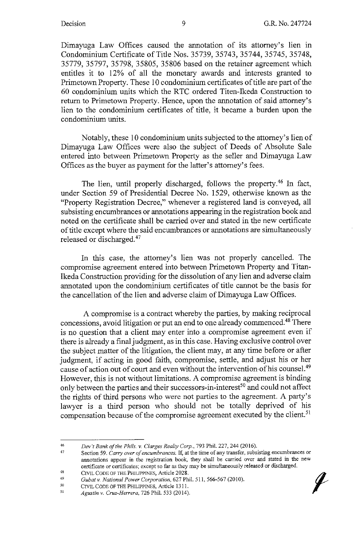Dimayuga Law Offices caused the annotation of its attorney's lien in Condominium Certificate of Title Nos. 35739, 35743, 35744, 35745, 35748, 35779, 35797, 35798, 35805, 35806 based on the retainer agreement which entitles it to 12% of all the monetary awards and interests granted to Primetown Property. These 10 condominium certificates of title are part of the 60 condominium units which the RTC ordered Titen-Ikeda Construction to return to Primetown Property. Hence, upon the annotation of said attorney's lien to the condominium certificates of title, it became a burden upon the condominium units.

Notably, these 10 condominium units subjected to the attorney's lien of Dimayuga Law Offices were also the subject of Deeds of Absolute Sale entered into between Primetown Property as the seller and Dimayuga Law Offices as the buyer as payment for the latter's attorney's fees.

The lien, until properly discharged, follows the property.<sup>46</sup> In fact, under Section 59 of Presidential Decree No. 1529, otherwise known as the "Property Registration Decree," whenever a registered land is conveyed, all subsisting encumbrances or annotations appearing in the registration book and noted on the certificate shall be carried over and stated in the new certificate of title except where the said encumbrances or annotations are simultaneously released or discharged.<sup>47</sup>

In this case, the attorney's lien was not properly cancelled. The compromise agreement entered into between Primetown Property and Titan-Ikeda Construction providing for the dissolution of any lien and adverse claim annotated upon the condominium certificates of title cannot be the basis for the cancellation of the lien and adverse claim of Dimayuga Law Offices.

A compromise is a contract whereby the parties, by making reciprocal concessions, avoid litigation or put an end to one already commenced.48 There is no question that a client may enter into a compromise agreement even if there is already a final judgment, as in this case. Having exclusive control over the subject matter of the litigation, the client may, at any time before or after judgment, if acting in good faith, compromise, settle, and adjust his or her cause of action out of court and even without the intervention of his counsel.<sup>49</sup> However, this is not without limitations. A compromise agreement is binding only between the parties and their successors-in-interest<sup>50</sup> and could not affect the rights of third persons who were not parties to the agreement. A party's lawyer is a third person who should not be totally deprived of his compensation because of the compromise agreement executed by the client.<sup>51</sup>

50 CIVIL CODE OF THE PHILIPPINES, Article 1311.

<sup>46</sup>  Dev't Bank of the Phils. v. Clarges Realty Corp., 793 Phil. 227, 244 (2016).

<sup>47</sup>  48 Section 59. *Carry over of encumbrances.* If, at the time of any transfer, subsisting encumbrances *or*  annotations appear in the registration book, they shall be carried over and stated in the new certificate or certificates; except so far as they may be simultaneously released or discharged. CIVIL CODE OF THE PHILIPPINES, Article 2028.

<sup>49</sup>  *Gubatv. National Power Corporation,* 627 Phil. 511, 566-567 (2010).

<sup>51</sup>  *Agustin v. Cruz-Herrera,* 726 Phil. 533 (2014).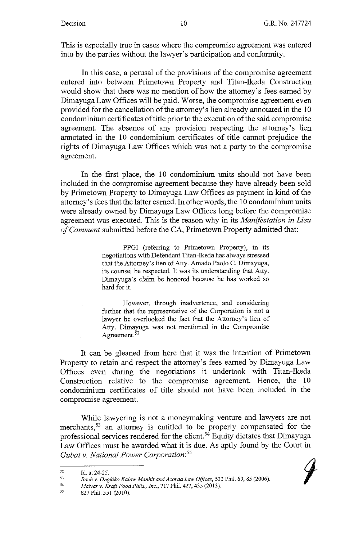This is especially true in cases where the compromise agreement was entered into by the parties without the lawyer's participation and conformity.

In this case, a perusal of the provisions of the compromise agreement entered into between Primetown Property and Titan-Ikeda Construction would show that there was no mention of how the attorney's fees earned by Dimayuga Law Offices will be paid. Worse, the compromise agreement even provided for the cancellation of the attorney's lien already annotated in the 10 condominium certificates of title prior to the execution of the said compromise agreement. The absence of any provision respecting the attorney's lien annotated in the 10 condominium certificates of title cannot prejudice the rights of Dimayuga Law Offices which was not a party to the compromise agreement.

In the first place, the 10 condominium units should not have been included in the compromise agreement because they have already been sold by Primetown Property to Dimayuga Law Offices as payment in kind of the attorney's fees that the latter earned. In other words, the 10 condominium units were already owned by Dimayuga Law Offices long before the compromise agreement was executed. This is the reason why in its *Manifestation in Lieu of Comment* submitted before the CA, Primetown Property admitted that:

> PPGI (referring to Primetown Property), in its negotiations with Defendant Titan-Ikeda has always stressed that the Attorney's lien of Atty. Amado Paolo C. Dimayuga, its counsel be respected. It was its understanding that Atty. Dimayuga's claim be honored because he has worked so hard for it.

> However, through inadvertence, and considering further that the representative of the Corporation is not a lawyer he overlooked the fact that the Attorney's lien of Atty. Dimayuga was not mentioned in the Compromise Agreement.<sup>52</sup>

It can be gleaned from here that it was the intention of Primetown Property to retain and respect the attorney's fees earned by Dimayuga Law Offices even during the negotiations it undertook with Titan-Ikeda Construction relative to the compromise agreement. Hence, the 10 condominium certificates of title should not have been included in the compromise agreement.

While lawyering is not a moneymaking venture and lawyers are not merchants,<sup>53</sup> an attorney is entitled to be properly compensated for the professional services rendered for the client. 54 Equity dictates that Dimayuga Law Offices must be awarded what it is due. As aptly found by the Court in *Gubat v. National Power Corporation: <sup>55</sup>*

54 *Ma/var v. Kraft Food Phils., Inc.,* 717 Phil. 427,435 (2013).

<sup>52</sup>  Id. at 24-25.

<sup>53</sup>  Bach v. Ongkiko Kalaw Manhit and Acorda Law Offices, 533 Phil. 69, 85 (2006).

<sup>55</sup>  627 Phil. 551 (2010).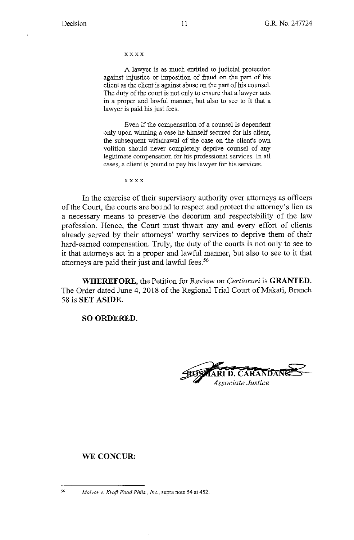xxxx

A lawyer is as much entitled to judicial protection against injustice or imposition of fraud on the part of his client as the client is against abuse on the part of his counsel. The duty of the court is not only to ensure that a lawyer acts in a proper and lawful manner, but also to see to it that a lawyer is paid his just fees.

Even if the compensation of a counsel is dependent only upon winning a case he himself secured for his client, the subsequent withdrawal of the case on the client's own volition should never completely deprive counsel of any legitimate compensation for his professional services. In all cases, a client is bound to pay his lawyer for his services.

xxxx

In the exercise of their supervisory authority over attorneys as officers of the Court, the courts are bound to respect and protect the attorney's lien as a necessary means to preserve the decorum and respectability of the law profession. Hence, the Court must thwart any and every effort of clients already served by their attorneys' worthy services to deprive them of their hard-earned compensation. Truly, the duty of the courts is not only to see to it that attorneys act in a proper and lawful manner, but also to see to it that attorneys are paid their just and lawful fees.<sup>56</sup>

**WHEREFORE,** the Petition for Review on *Certiorari* is **GRANTED.**  The Order dated June 4, 2018 of the Regional Trial Court of Makati, Branch 58 is **SET ASIDE.** 

**SO ORDERED.** 

**~•-••b D.CARAN AN** ~ *Associate Justice* 

#### **WE CONCUR:**

<sup>56</sup>*Ma/var* v. *Kraft Food Phils .• Inc.,* supra note 54 at 452.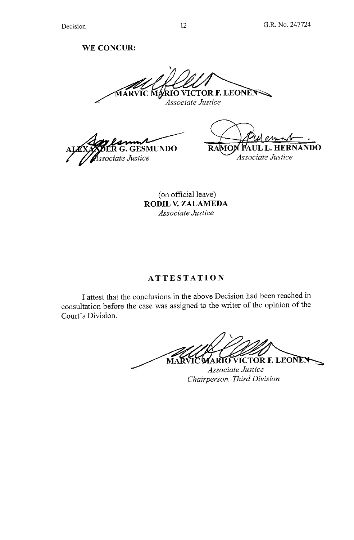## **WE CONCUR:**

RVIC MARIO VICTOR F. LEONEN

*Associate Justice* 

**GESMUNDO** ssociate Justice

• UL L. HERNANDO **RAMO** *Associate Justice* 

( on official leave) **RODIL V. ZALAMEDA**  *Associate Justice* 

## **ATTESTATION**

I attest that the conclusions in the above Decision had been reached in consultation before the case was assigned to the writer of the opinion of the Court's Division.

MARVIC MARIO VICTOR F. LEONEN Associate Justice

*Chairperson, Third Division*